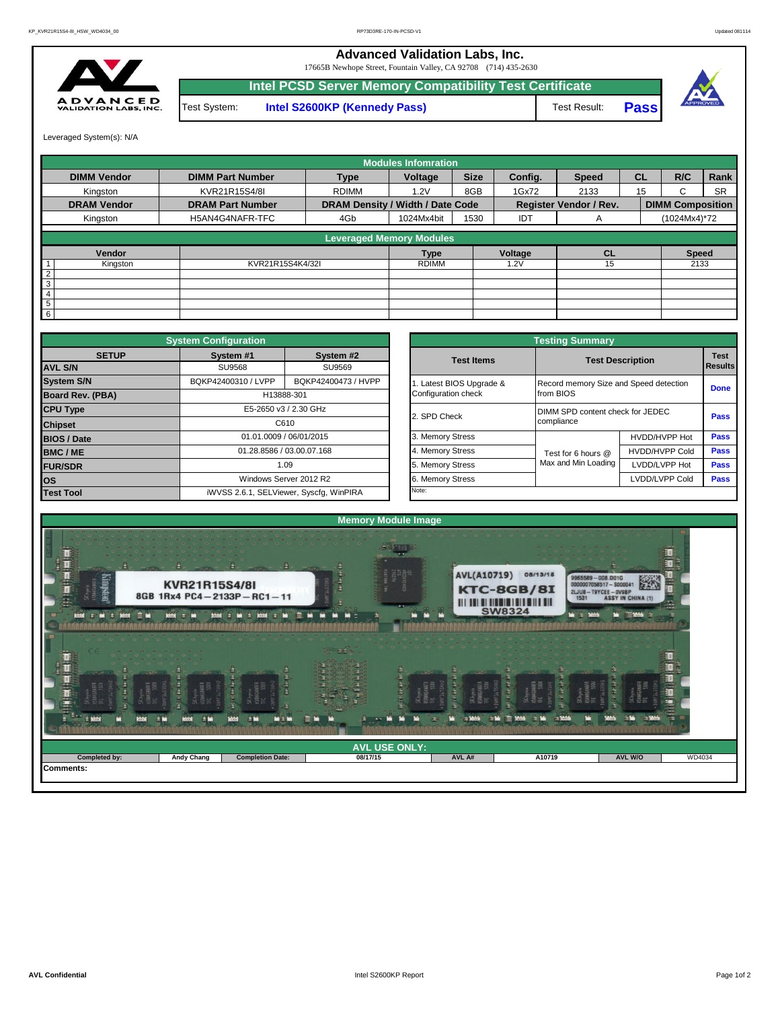**Advanced Validation Labs, Inc.** 

17665B Newhope Street, Fountain Valley, CA 92708 (714) 435-2630



Test System: **Intel S2600KP (Kennedy Pass)** Test Result: **Intel PCSD Server Memory Compatibility Test Certificate Pass**



Leveraged System(s): N/A

|                    |                         |                                  | <b>Modules Infomration</b> |             |         |                               |           |                         |           |
|--------------------|-------------------------|----------------------------------|----------------------------|-------------|---------|-------------------------------|-----------|-------------------------|-----------|
| <b>DIMM Vendor</b> | <b>DIMM Part Number</b> | <b>Type</b>                      | Voltage                    | <b>Size</b> | Config. | <b>Speed</b>                  | <b>CL</b> | R/C                     | Rank      |
| Kingston           | KVR21R15S4/8I           | <b>RDIMM</b>                     | 1.2V                       | 8GB         | 1Gx72   | 2133                          | 15        | C.                      | <b>SR</b> |
| <b>DRAM Vendor</b> | <b>DRAM Part Number</b> | DRAM Density / Width / Date Code |                            |             |         | <b>Register Vendor / Rev.</b> |           | <b>DIMM Composition</b> |           |
| Kingston           | H5AN4G4NAFR-TFC         | 4Gb                              | 1024Mx4bit                 | 1530        | IDT     | A                             |           | (1024Mx4)*72            |           |
|                    |                         | <b>Leveraged Memory Modules</b>  |                            |             |         |                               |           |                         |           |
| Vendor             |                         |                                  | <b>Type</b>                |             | Voltage | <b>CL</b>                     |           | <b>Speed</b>            |           |
| Kingston           | KVR21R15S4K4/32I        |                                  | <b>RDIMM</b>               |             | .2V     | 15                            |           | 2133                    |           |
| $\overline{2}$     |                         |                                  |                            |             |         |                               |           |                         |           |
| 3                  |                         |                                  |                            |             |         |                               |           |                         |           |
| 4                  |                         |                                  |                            |             |         |                               |           |                         |           |
| 5                  |                         |                                  |                            |             |         |                               |           |                         |           |
| 6                  |                         |                                  |                            |             |         |                               |           |                         |           |

|                         | <b>System Configuration</b> |                                         |                       | <b>Testing Summary</b> |                                        |             |  |  |
|-------------------------|-----------------------------|-----------------------------------------|-----------------------|------------------------|----------------------------------------|-------------|--|--|
| <b>SETUP</b>            | System #1                   | System #2                               | <b>Test Items</b>     |                        | <b>Test Description</b><br>Results     |             |  |  |
| <b>AVL S/N</b>          | <b>SU9568</b>               | SU9569                                  |                       |                        |                                        |             |  |  |
| <b>System S/N</b>       | BQKP42400310 / LVPP         | BQKP42400473 / HVPP                     | Latest BIOS Upgrade & |                        | Record memory Size and Speed detection |             |  |  |
| <b>Board Rev. (PBA)</b> |                             | H13888-301                              | Configuration check   | from BIOS              |                                        |             |  |  |
| <b>CPU Type</b>         |                             | E5-2650 v3 / 2.30 GHz                   | 2. SPD Check          |                        | DIMM SPD content check for JEDEC       |             |  |  |
| C610<br><b>Chipset</b>  |                             |                                         |                       | compliance             |                                        |             |  |  |
| <b>BIOS / Date</b>      |                             | 01.01.0009 / 06/01/2015                 | 3. Memory Stress      |                        | HVDD/HVPP Hot                          | <b>Pass</b> |  |  |
| <b>BMC/ME</b>           |                             | 01.28.8586 / 03.00.07.168               | 4. Memory Stress      | Test for 6 hours @     | <b>HVDD/HVPP Cold</b>                  | <b>Pass</b> |  |  |
| <b>FUR/SDR</b>          |                             | 1.09                                    | 5. Memory Stress      | Max and Min Loading    | LVDD/LVPP Hot                          | <b>Pass</b> |  |  |
| los                     |                             | Windows Server 2012 R2                  | 6. Memory Stress      |                        | LVDD/LVPP Cold                         | <b>Pass</b> |  |  |
| <b>Test Tool</b>        |                             | iWVSS 2.6.1, SELViewer, Syscfq, WinPIRA | Note:                 |                        |                                        |             |  |  |

|              | <b>System Configuration</b> |                                         |                       | <b>Testing Summary</b>                                                              |                                        |                |  |  |
|--------------|-----------------------------|-----------------------------------------|-----------------------|-------------------------------------------------------------------------------------|----------------------------------------|----------------|--|--|
| <b>SETUP</b> | System #1                   | System #2                               | <b>Test Items</b>     | <b>Test Description</b>                                                             |                                        |                |  |  |
|              | <b>SU9568</b>               | SU9569                                  |                       |                                                                                     |                                        | <b>Results</b> |  |  |
|              | BQKP42400310 / LVPP         | BQKP42400473 / HVPP                     | Latest BIOS Upgrade & |                                                                                     | Record memory Size and Speed detection |                |  |  |
| PBA)         | H13888-301                  |                                         | Configuration check   | from BIOS                                                                           |                                        |                |  |  |
|              |                             | E5-2650 v3 / 2.30 GHz                   | 2. SPD Check          | DIMM SPD content check for JEDEC                                                    |                                        |                |  |  |
|              |                             | C610                                    |                       | compliance                                                                          |                                        | Pass           |  |  |
|              |                             | 01.01.0009 / 06/01/2015                 | 3. Memory Stress      |                                                                                     | HVDD/HVPP Hot                          | Pass           |  |  |
|              |                             | 01.28.8586 / 03.00.07.168               | 4. Memory Stress      | <b>HVDD/HVPP Cold</b><br>Test for 6 hours @<br>Max and Min Loading<br>LVDD/LVPP Hot |                                        | Pass           |  |  |
|              |                             | 1.09                                    | 5. Memory Stress      |                                                                                     |                                        | Pass           |  |  |
|              | Windows Server 2012 R2      |                                         | 6. Memory Stress      |                                                                                     | LVDD/LVPP Cold                         | Pass           |  |  |
|              |                             | iWVSS 2.6.1, SELViewer, Syscfq, WinPIRA | Note:                 |                                                                                     |                                        |                |  |  |